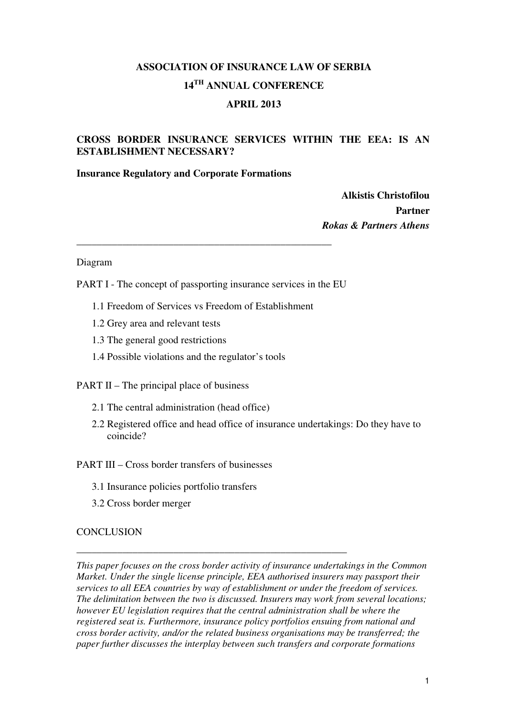# **ASSOCIATION OF INSURANCE LAW OF SERBIA 14TH ANNUAL CONFERENCE**

## **APRIL 2013**

# **CROSS BORDER INSURANCE SERVICES WITHIN THE EEA: IS AN ESTABLISHMENT NECESSARY?**

#### **Insurance Regulatory and Corporate Formations**

**Alkistis Christofilou Partner**  *Rokas & Partners Athens* 

#### Diagram

PART I - The concept of passporting insurance services in the EU

**\_\_\_\_\_\_\_\_\_\_\_\_\_\_\_\_\_\_\_\_\_\_\_\_\_\_\_\_\_\_\_\_\_\_\_\_\_\_\_\_\_\_\_\_\_\_\_\_\_\_** 

- 1.1 Freedom of Services vs Freedom of Establishment
- 1.2 Grey area and relevant tests
- 1.3 The general good restrictions
- 1.4 Possible violations and the regulator's tools

PART II – The principal place of business

- 2.1 The central administration (head office)
- 2.2 Registered office and head office of insurance undertakings: Do they have to coincide?

PART III – Cross border transfers of businesses

3.1 Insurance policies portfolio transfers

**\_\_\_\_\_\_\_\_\_\_\_\_\_\_\_\_\_\_\_\_\_\_\_\_\_\_\_\_\_\_\_\_\_\_\_\_\_\_\_\_\_\_\_\_\_\_\_\_\_\_\_\_\_** 

3.2 Cross border merger

#### **CONCLUSION**

*This paper focuses on the cross border activity of insurance undertakings in the Common Market. Under the single license principle, EEA authorised insurers may passport their services to all EEA countries by way of establishment or under the freedom of services. The delimitation between the two is discussed. Insurers may work from several locations; however EU legislation requires that the central administration shall be where the registered seat is. Furthermore, insurance policy portfolios ensuing from national and cross border activity, and/or the related business organisations may be transferred; the paper further discusses the interplay between such transfers and corporate formations*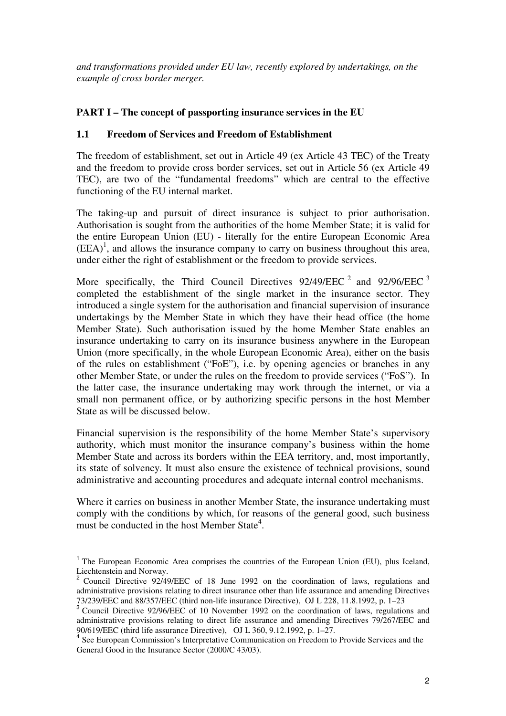*and transformations provided under EU law, recently explored by undertakings, on the example of cross border merger.* 

# **PART I – The concept of passporting insurance services in the EU**

# **1.1 Freedom of Services and Freedom of Establishment**

The freedom of establishment, set out in Article 49 (ex Article 43 TEC) of the Treaty and the freedom to provide cross border services, set out in Article 56 (ex Article 49 TEC), are two of the "fundamental freedoms" which are central to the effective functioning of the EU internal market.

The taking-up and pursuit of direct insurance is subject to prior authorisation. Authorisation is sought from the authorities of the home Member State; it is valid for the entire European Union (EU) - literally for the entire European Economic Area  $(EEA)^1$ , and allows the insurance company to carry on business throughout this area, under either the right of establishment or the freedom to provide services.

More specifically, the Third Council Directives  $92/49/EEC^2$  and  $92/96/EEC^3$ completed the establishment of the single market in the insurance sector. They introduced a single system for the authorisation and financial supervision of insurance undertakings by the Member State in which they have their head office (the home Member State). Such authorisation issued by the home Member State enables an insurance undertaking to carry on its insurance business anywhere in the European Union (more specifically, in the whole European Economic Area), either on the basis of the rules on establishment ("FoE"), i.e. by opening agencies or branches in any other Member State, or under the rules on the freedom to provide services ("FoS"). In the latter case, the insurance undertaking may work through the internet, or via a small non permanent office, or by authorizing specific persons in the host Member State as will be discussed below.

Financial supervision is the responsibility of the home Member State's supervisory authority, which must monitor the insurance company's business within the home Member State and across its borders within the EEA territory, and, most importantly, its state of solvency. It must also ensure the existence of technical provisions, sound administrative and accounting procedures and adequate internal control mechanisms.

Where it carries on business in another Member State, the insurance undertaking must comply with the conditions by which, for reasons of the general good, such business must be conducted in the host Member State<sup>4</sup>.

<sup>&</sup>lt;sup>1</sup> The European Economic Area comprises the countries of the European Union (EU), plus Iceland, Liechtenstein and Norway.

Council Directive 92/49/EEC of 18 June 1992 on the coordination of laws, regulations and administrative provisions relating to direct insurance other than life assurance and amending Directives

<sup>73/239/</sup>EEC and 88/357/EEC (third non-life insurance Directive), OJ L 228, 11.8.1992, p. 1–23 3 Council Directive 92/96/EEC of 10 November 1992 on the coordination of laws, regulations and administrative provisions relating to direct life assurance and amending Directives 79/267/EEC and 90/619/EEC (third life assurance Directive), OJ L 360, 9.12.1992, p. 1–27.

<sup>&</sup>lt;sup>4</sup> See European Commission's Interpretative Communication on Freedom to Provide Services and the General Good in the Insurance Sector (2000/C 43/03).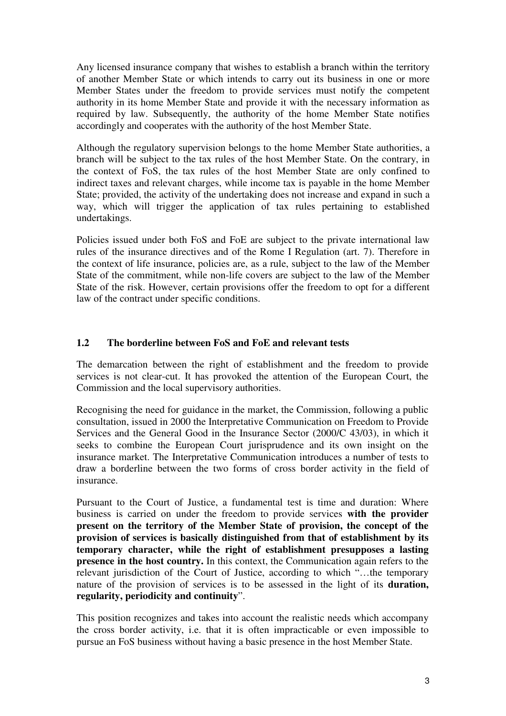Any licensed insurance company that wishes to establish a branch within the territory of another Member State or which intends to carry out its business in one or more Member States under the freedom to provide services must notify the competent authority in its home Member State and provide it with the necessary information as required by law. Subsequently, the authority of the home Member State notifies accordingly and cooperates with the authority of the host Member State.

Although the regulatory supervision belongs to the home Member State authorities, a branch will be subject to the tax rules of the host Member State. On the contrary, in the context of FoS, the tax rules of the host Member State are only confined to indirect taxes and relevant charges, while income tax is payable in the home Member State; provided, the activity of the undertaking does not increase and expand in such a way, which will trigger the application of tax rules pertaining to established undertakings.

Policies issued under both FoS and FoE are subject to the private international law rules of the insurance directives and of the Rome I Regulation (art. 7). Therefore in the context of life insurance, policies are, as a rule, subject to the law of the Member State of the commitment, while non-life covers are subject to the law of the Member State of the risk. However, certain provisions offer the freedom to opt for a different law of the contract under specific conditions.

#### **1.2 The borderline between FoS and FoE and relevant tests**

The demarcation between the right of establishment and the freedom to provide services is not clear-cut. It has provoked the attention of the European Court, the Commission and the local supervisory authorities.

Recognising the need for guidance in the market, the Commission, following a public consultation, issued in 2000 the Interpretative Communication on Freedom to Provide Services and the General Good in the Insurance Sector (2000/C 43/03), in which it seeks to combine the European Court jurisprudence and its own insight on the insurance market. The Interpretative Communication introduces a number of tests to draw a borderline between the two forms of cross border activity in the field of insurance.

Pursuant to the Court of Justice, a fundamental test is time and duration: Where business is carried on under the freedom to provide services **with the provider present on the territory of the Member State of provision, the concept of the provision of services is basically distinguished from that of establishment by its temporary character, while the right of establishment presupposes a lasting presence in the host country.** In this context, the Communication again refers to the relevant jurisdiction of the Court of Justice, according to which "…the temporary nature of the provision of services is to be assessed in the light of its **duration, regularity, periodicity and continuity**".

This position recognizes and takes into account the realistic needs which accompany the cross border activity, i.e. that it is often impracticable or even impossible to pursue an FoS business without having a basic presence in the host Member State.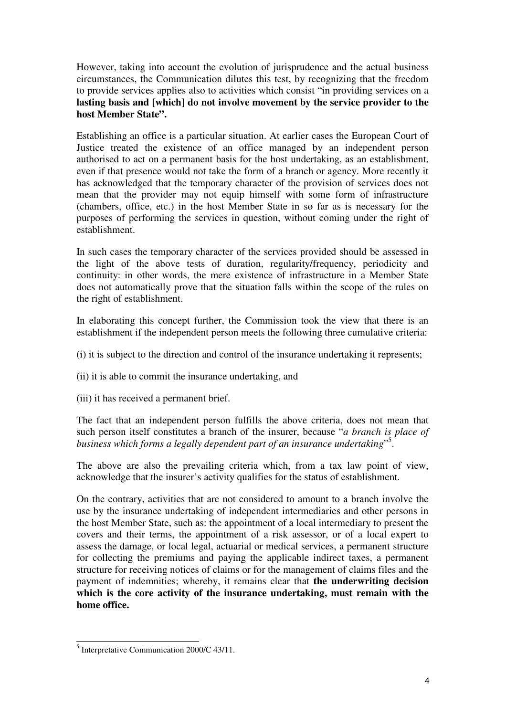However, taking into account the evolution of jurisprudence and the actual business circumstances, the Communication dilutes this test, by recognizing that the freedom to provide services applies also to activities which consist "in providing services on a **lasting basis and [which] do not involve movement by the service provider to the host Member State".** 

Establishing an office is a particular situation. At earlier cases the European Court of Justice treated the existence of an office managed by an independent person authorised to act on a permanent basis for the host undertaking, as an establishment, even if that presence would not take the form of a branch or agency. More recently it has acknowledged that the temporary character of the provision of services does not mean that the provider may not equip himself with some form of infrastructure (chambers, office, etc.) in the host Member State in so far as is necessary for the purposes of performing the services in question, without coming under the right of establishment.

In such cases the temporary character of the services provided should be assessed in the light of the above tests of duration, regularity/frequency, periodicity and continuity: in other words, the mere existence of infrastructure in a Member State does not automatically prove that the situation falls within the scope of the rules on the right of establishment.

In elaborating this concept further, the Commission took the view that there is an establishment if the independent person meets the following three cumulative criteria:

- (i) it is subject to the direction and control of the insurance undertaking it represents;
- (ii) it is able to commit the insurance undertaking, and
- (iii) it has received a permanent brief.

The fact that an independent person fulfills the above criteria, does not mean that such person itself constitutes a branch of the insurer, because "*a branch is place of business which forms a legally dependent part of an insurance undertaking*" 5 .

The above are also the prevailing criteria which, from a tax law point of view, acknowledge that the insurer's activity qualifies for the status of establishment.

On the contrary, activities that are not considered to amount to a branch involve the use by the insurance undertaking of independent intermediaries and other persons in the host Member State, such as: the appointment of a local intermediary to present the covers and their terms, the appointment of a risk assessor, or of a local expert to assess the damage, or local legal, actuarial or medical services, a permanent structure for collecting the premiums and paying the applicable indirect taxes, a permanent structure for receiving notices of claims or for the management of claims files and the payment of indemnities; whereby, it remains clear that **the underwriting decision which is the core activity of the insurance undertaking, must remain with the home office.** 

<sup>&</sup>lt;sup>5</sup> Interpretative Communication 2000/C 43/11.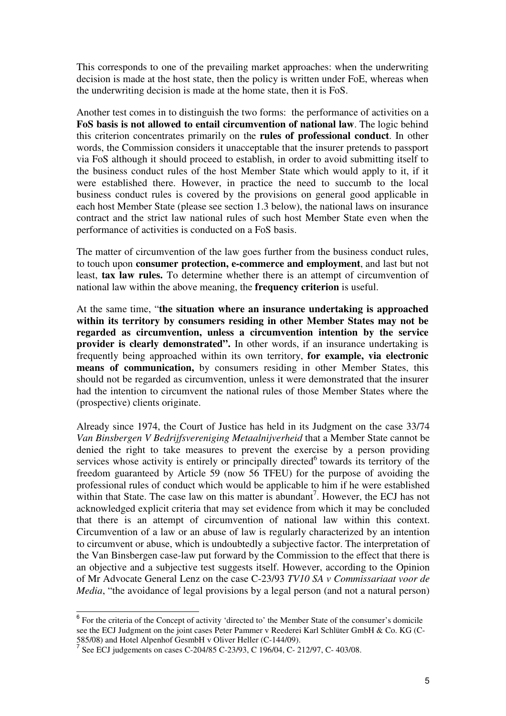This corresponds to one of the prevailing market approaches: when the underwriting decision is made at the host state, then the policy is written under FoE, whereas when the underwriting decision is made at the home state, then it is FoS.

Another test comes in to distinguish the two forms: the performance of activities on a **FoS basis is not allowed to entail circumvention of national law**. The logic behind this criterion concentrates primarily on the **rules of professional conduct**. In other words, the Commission considers it unacceptable that the insurer pretends to passport via FoS although it should proceed to establish, in order to avoid submitting itself to the business conduct rules of the host Member State which would apply to it, if it were established there. However, in practice the need to succumb to the local business conduct rules is covered by the provisions on general good applicable in each host Member State (please see section 1.3 below), the national laws on insurance contract and the strict law national rules of such host Member State even when the performance of activities is conducted on a FoS basis.

The matter of circumvention of the law goes further from the business conduct rules, to touch upon **consumer protection, e-commerce and employment**, and last but not least, **tax law rules.** To determine whether there is an attempt of circumvention of national law within the above meaning, the **frequency criterion** is useful.

At the same time, "**the situation where an insurance undertaking is approached within its territory by consumers residing in other Member States may not be regarded as circumvention, unless a circumvention intention by the service provider is clearly demonstrated".** In other words, if an insurance undertaking is frequently being approached within its own territory, **for example, via electronic means of communication,** by consumers residing in other Member States, this should not be regarded as circumvention, unless it were demonstrated that the insurer had the intention to circumvent the national rules of those Member States where the (prospective) clients originate.

Already since 1974, the Court of Justice has held in its Judgment on the case 33/74 *Van Binsbergen V Bedrijfsvereniging Metaalnijverheid* that a Member State cannot be denied the right to take measures to prevent the exercise by a person providing services whose activity is entirely or principally directed<sup>6</sup> towards its territory of the freedom guaranteed by Article 59 (now 56 TFEU) for the purpose of avoiding the professional rules of conduct which would be applicable to him if he were established within that State. The case law on this matter is abundant<sup>7</sup>. However, the ECJ has not acknowledged explicit criteria that may set evidence from which it may be concluded that there is an attempt of circumvention of national law within this context. Circumvention of a law or an abuse of law is regularly characterized by an intention to circumvent or abuse, which is undoubtedly a subjective factor. The interpretation of the Van Binsbergen case-law put forward by the Commission to the effect that there is an objective and a subjective test suggests itself. However, according to the Opinion of Mr Advocate General Lenz on the case C-23/93 *TV10 SA v Commissariaat voor de Media*, "the avoidance of legal provisions by a legal person (and not a natural person)

<sup>&</sup>lt;sup>6</sup> For the criteria of the Concept of activity 'directed to' the Member State of the consumer's domicile see the ECJ Judgment on the joint cases Peter Pammer v Reederei Karl Schlüter GmbH & Co. KG (C-

<sup>585/08)</sup> and Hotel Alpenhof GesmbH v Oliver Heller (C-144/09).<br><sup>7</sup> See ECJ judgements on cases C-204/85 C-23/93, C 196/04, C- 212/97, C- 403/08.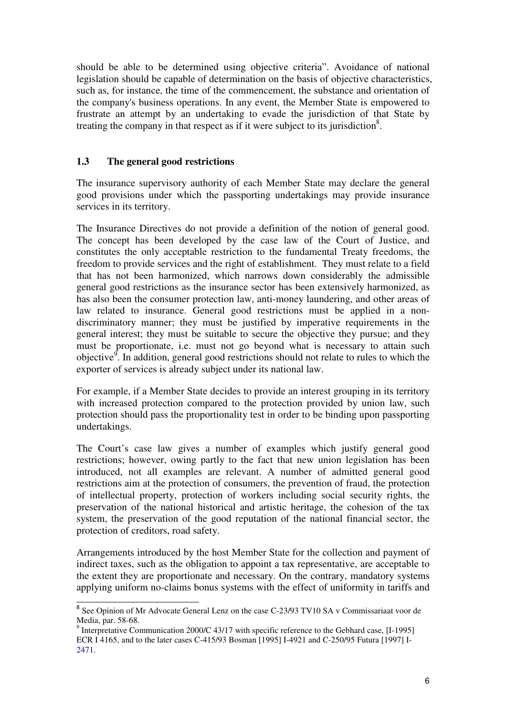should be able to be determined using objective criteria". Avoidance of national legislation should be capable of determination on the basis of objective characteristics, such as, for instance, the time of the commencement, the substance and orientation of the company's business operations. In any event, the Member State is empowered to frustrate an attempt by an undertaking to evade the jurisdiction of that State by treating the company in that respect as if it were subject to its jurisdiction<sup>8</sup>.

## **1.3 The general good restrictions**

The insurance supervisory authority of each Member State may declare the general good provisions under which the passporting undertakings may provide insurance services in its territory.

The Insurance Directives do not provide a definition of the notion of general good. The concept has been developed by the case law of the Court of Justice, and constitutes the only acceptable restriction to the fundamental Treaty freedoms, the freedom to provide services and the right of establishment. They must relate to a field that has not been harmonized, which narrows down considerably the admissible general good restrictions as the insurance sector has been extensively harmonized, as has also been the consumer protection law, anti-money laundering, and other areas of law related to insurance. General good restrictions must be applied in a nondiscriminatory manner; they must be justified by imperative requirements in the general interest; they must be suitable to secure the objective they pursue; and they must be proportionate, i.e. must not go beyond what is necessary to attain such objective<sup>9</sup>. In addition, general good restrictions should not relate to rules to which the exporter of services is already subject under its national law.

For example, if a Member State decides to provide an interest grouping in its territory with increased protection compared to the protection provided by union law, such protection should pass the proportionality test in order to be binding upon passporting undertakings.

The Court's case law gives a number of examples which justify general good restrictions; however, owing partly to the fact that new union legislation has been introduced, not all examples are relevant. A number of admitted general good restrictions aim at the protection of consumers, the prevention of fraud, the protection of intellectual property, protection of workers including social security rights, the preservation of the national historical and artistic heritage, the cohesion of the tax system, the preservation of the good reputation of the national financial sector, the protection of creditors, road safety.

Arrangements introduced by the host Member State for the collection and payment of indirect taxes, such as the obligation to appoint a tax representative, are acceptable to the extent they are proportionate and necessary. On the contrary, mandatory systems applying uniform no-claims bonus systems with the effect of uniformity in tariffs and

<sup>&</sup>lt;sup>8</sup> See Opinion of Mr Advocate General Lenz on the case C-23/93 TV10 SA v Commissariaat voor de Media, par. 58-68.

<sup>&</sup>lt;sup>9</sup> Interpretative Communication 2000/C 43/17 with specific reference to the Gebhard case, [I-1995] ECR I 4165, and to the later cases C-415/93 Bosman [1995] I-4921 and C-250/95 Futura [1997] I-2471.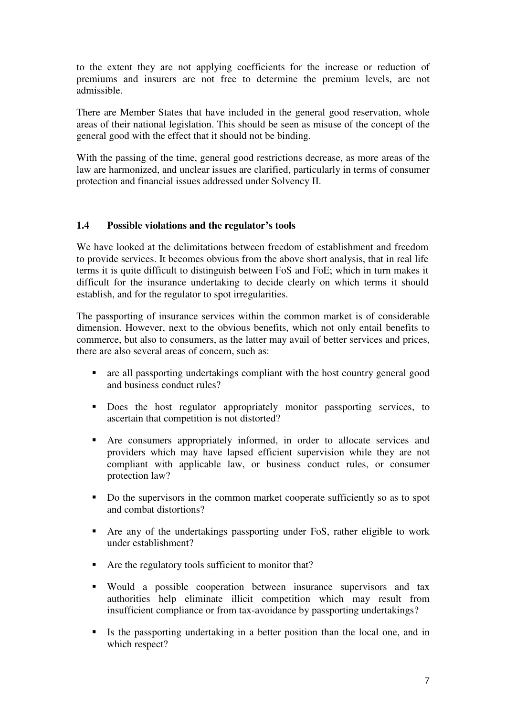to the extent they are not applying coefficients for the increase or reduction of premiums and insurers are not free to determine the premium levels, are not admissible.

There are Member States that have included in the general good reservation, whole areas of their national legislation. This should be seen as misuse of the concept of the general good with the effect that it should not be binding.

With the passing of the time, general good restrictions decrease, as more areas of the law are harmonized, and unclear issues are clarified, particularly in terms of consumer protection and financial issues addressed under Solvency II.

#### **1.4 Possible violations and the regulator's tools**

We have looked at the delimitations between freedom of establishment and freedom to provide services. It becomes obvious from the above short analysis, that in real life terms it is quite difficult to distinguish between FoS and FoE; which in turn makes it difficult for the insurance undertaking to decide clearly on which terms it should establish, and for the regulator to spot irregularities.

The passporting of insurance services within the common market is of considerable dimension. However, next to the obvious benefits, which not only entail benefits to commerce, but also to consumers, as the latter may avail of better services and prices, there are also several areas of concern, such as:

- are all passporting undertakings compliant with the host country general good and business conduct rules?
- Does the host regulator appropriately monitor passporting services, to ascertain that competition is not distorted?
- Are consumers appropriately informed, in order to allocate services and providers which may have lapsed efficient supervision while they are not compliant with applicable law, or business conduct rules, or consumer protection law?
- Do the supervisors in the common market cooperate sufficiently so as to spot and combat distortions?
- Are any of the undertakings passporting under FoS, rather eligible to work under establishment?
- Are the regulatory tools sufficient to monitor that?
- Would a possible cooperation between insurance supervisors and tax authorities help eliminate illicit competition which may result from insufficient compliance or from tax-avoidance by passporting undertakings?
- If Is the passporting undertaking in a better position than the local one, and in which respect?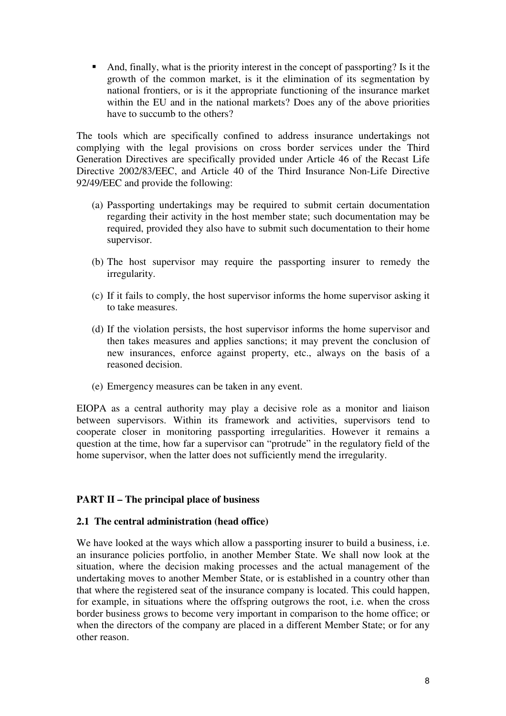And, finally, what is the priority interest in the concept of passporting? Is it the growth of the common market, is it the elimination of its segmentation by national frontiers, or is it the appropriate functioning of the insurance market within the EU and in the national markets? Does any of the above priorities have to succumb to the others?

The tools which are specifically confined to address insurance undertakings not complying with the legal provisions on cross border services under the Third Generation Directives are specifically provided under Article 46 of the Recast Life Directive 2002/83/EEC, and Article 40 of the Third Insurance Non-Life Directive 92/49/EEC and provide the following:

- (a) Passporting undertakings may be required to submit certain documentation regarding their activity in the host member state; such documentation may be required, provided they also have to submit such documentation to their home supervisor.
- (b) The host supervisor may require the passporting insurer to remedy the irregularity.
- (c) If it fails to comply, the host supervisor informs the home supervisor asking it to take measures.
- (d) If the violation persists, the host supervisor informs the home supervisor and then takes measures and applies sanctions; it may prevent the conclusion of new insurances, enforce against property, etc., always on the basis of a reasoned decision.
- (e) Emergency measures can be taken in any event.

EIOPA as a central authority may play a decisive role as a monitor and liaison between supervisors. Within its framework and activities, supervisors tend to cooperate closer in monitoring passporting irregularities. However it remains a question at the time, how far a supervisor can "protrude" in the regulatory field of the home supervisor, when the latter does not sufficiently mend the irregularity.

#### **PART II – The principal place of business**

#### **2.1 The central administration (head office)**

We have looked at the ways which allow a passporting insurer to build a business, i.e. an insurance policies portfolio, in another Member State. We shall now look at the situation, where the decision making processes and the actual management of the undertaking moves to another Member State, or is established in a country other than that where the registered seat of the insurance company is located. This could happen, for example, in situations where the offspring outgrows the root, i.e. when the cross border business grows to become very important in comparison to the home office; or when the directors of the company are placed in a different Member State; or for any other reason.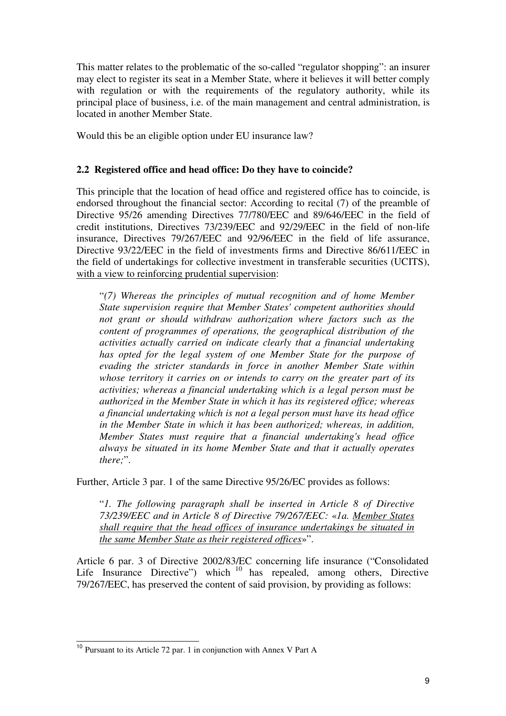This matter relates to the problematic of the so-called "regulator shopping": an insurer may elect to register its seat in a Member State, where it believes it will better comply with regulation or with the requirements of the regulatory authority, while its principal place of business, i.e. of the main management and central administration, is located in another Member State.

Would this be an eligible option under EU insurance law?

# **2.2 Registered office and head office: Do they have to coincide?**

This principle that the location of head office and registered office has to coincide, is endorsed throughout the financial sector: According to recital (7) of the preamble of Directive 95/26 amending Directives 77/780/EEC and 89/646/EEC in the field of credit institutions, Directives 73/239/EEC and 92/29/EEC in the field of non-life insurance, Directives 79/267/EEC and 92/96/EEC in the field of life assurance, Directive 93/22/EEC in the field of investments firms and Directive 86/611/EEC in the field of undertakings for collective investment in transferable securities (UCITS), with a view to reinforcing prudential supervision:

"*(7) Whereas the principles of mutual recognition and of home Member State supervision require that Member States' competent authorities should not grant or should withdraw authorization where factors such as the content of programmes of operations, the geographical distribution of the activities actually carried on indicate clearly that a financial undertaking has opted for the legal system of one Member State for the purpose of evading the stricter standards in force in another Member State within whose territory it carries on or intends to carry on the greater part of its activities; whereas a financial undertaking which is a legal person must be authorized in the Member State in which it has its registered office; whereas a financial undertaking which is not a legal person must have its head office in the Member State in which it has been authorized; whereas, in addition, Member States must require that a financial undertaking's head office always be situated in its home Member State and that it actually operates there;*".

Further, Article 3 par. 1 of the same Directive 95/26/EC provides as follows:

"*1. The following paragraph shall be inserted in Article 8 of Directive 73/239/EEC and in Article 8 of Directive 79/267/EEC:* «*1a. Member States shall require that the head offices of insurance undertakings be situated in the same Member State as their registered offices*»".

Article 6 par. 3 of Directive 2002/83/EC concerning life insurance ("Consolidated Life Insurance Directive") which <sup>10</sup> has repealed, among others, Directive 79/267/EEC, has preserved the content of said provision, by providing as follows:

<sup>10</sup> Pursuant to its Article 72 par. 1 in conjunction with Annex V Part A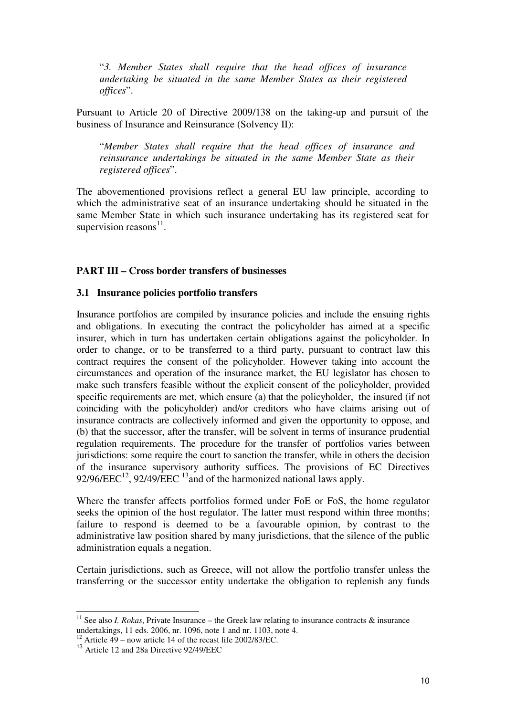"*3. Member States shall require that the head offices of insurance undertaking be situated in the same Member States as their registered offices*".

Pursuant to Article 20 of Directive 2009/138 on the taking-up and pursuit of the business of Insurance and Reinsurance (Solvency II):

"*Member States shall require that the head offices of insurance and reinsurance undertakings be situated in the same Member State as their registered offices*".

The abovementioned provisions reflect a general EU law principle, according to which the administrative seat of an insurance undertaking should be situated in the same Member State in which such insurance undertaking has its registered seat for supervision reasons $^{11}$ .

## **PART III – Cross border transfers of businesses**

#### **3.1 Insurance policies portfolio transfers**

Insurance portfolios are compiled by insurance policies and include the ensuing rights and obligations. In executing the contract the policyholder has aimed at a specific insurer, which in turn has undertaken certain obligations against the policyholder. In order to change, or to be transferred to a third party, pursuant to contract law this contract requires the consent of the policyholder. However taking into account the circumstances and operation of the insurance market, the EU legislator has chosen to make such transfers feasible without the explicit consent of the policyholder, provided specific requirements are met, which ensure (a) that the policyholder, the insured (if not coinciding with the policyholder) and/or creditors who have claims arising out of insurance contracts are collectively informed and given the opportunity to oppose, and (b) that the successor, after the transfer, will be solvent in terms of insurance prudential regulation requirements. The procedure for the transfer of portfolios varies between jurisdictions: some require the court to sanction the transfer, while in others the decision of the insurance supervisory authority suffices. The provisions of EC Directives 92/96/EEC<sup>12</sup>, 92/49/EEC<sup>13</sup> and of the harmonized national laws apply.

Where the transfer affects portfolios formed under FoE or FoS, the home regulator seeks the opinion of the host regulator. The latter must respond within three months; failure to respond is deemed to be a favourable opinion, by contrast to the administrative law position shared by many jurisdictions, that the silence of the public administration equals a negation.

Certain jurisdictions, such as Greece, will not allow the portfolio transfer unless the transferring or the successor entity undertake the obligation to replenish any funds

<sup>&</sup>lt;sup>11</sup> See also *I. Rokas*, Private Insurance – the Greek law relating to insurance contracts  $\&$  insurance undertakings, 11 eds. 2006, nr. 1096, note 1 and nr. 1103, note 4.

<sup>&</sup>lt;sup>12</sup> Article  $\overline{49}$  – now article 14 of the recast life 2002/83/EC.

<sup>&</sup>lt;sup>13</sup> Article 12 and 28a Directive 92/49/EEC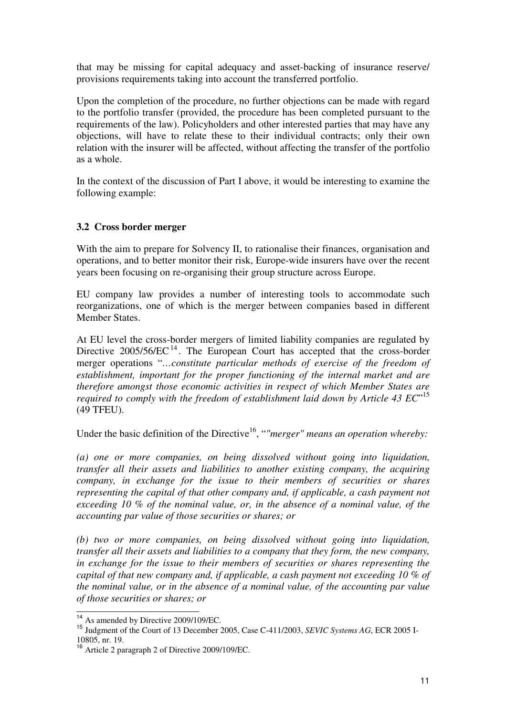that may be missing for capital adequacy and asset-backing of insurance reserve/ provisions requirements taking into account the transferred portfolio.

Upon the completion of the procedure, no further objections can be made with regard to the portfolio transfer (provided, the procedure has been completed pursuant to the requirements of the law). Policyholders and other interested parties that may have any objections, will have to relate these to their individual contracts; only their own relation with the insurer will be affected, without affecting the transfer of the portfolio as a whole.

In the context of the discussion of Part I above, it would be interesting to examine the following example:

#### **3.2 Cross border merger**

With the aim to prepare for Solvency II, to rationalise their finances, organisation and operations, and to better monitor their risk, Europe-wide insurers have over the recent years been focusing on re-organising their group structure across Europe.

EU company law provides a number of interesting tools to accommodate such reorganizations, one of which is the merger between companies based in different Member States.

At EU level the cross-border mergers of limited liability companies are regulated by Directive  $2005/56/EC$ <sup>14</sup>. The European Court has accepted that the cross-border merger operations "*…constitute particular methods of exercise of the freedom of establishment, important for the proper functioning of the internal market and are therefore amongst those economic activities in respect of which Member States are required to comply with the freedom of establishment laid down by Article 43 EC*" 15 (49 TFEU).

Under the basic definition of the Directive<sup>16</sup>, "*"merger" means an operation whereby:* 

*(a) one or more companies, on being dissolved without going into liquidation, transfer all their assets and liabilities to another existing company, the acquiring company, in exchange for the issue to their members of securities or shares representing the capital of that other company and, if applicable, a cash payment not exceeding 10 % of the nominal value, or, in the absence of a nominal value, of the accounting par value of those securities or shares; or* 

*(b) two or more companies, on being dissolved without going into liquidation, transfer all their assets and liabilities to a company that they form, the new company, in exchange for the issue to their members of securities or shares representing the capital of that new company and, if applicable, a cash payment not exceeding 10 % of the nominal value, or in the absence of a nominal value, of the accounting par value of those securities or shares; or* 

 $^{14}$  As amended by Directive 2009/109/EC.

<sup>15</sup> Judgment of the Court of 13 December 2005, Case C-411/2003, *SEVIC Systems AG*, ECR 2005 I-10805, nr. 19.

<sup>16</sup> Article 2 paragraph 2 of Directive 2009/109/EC.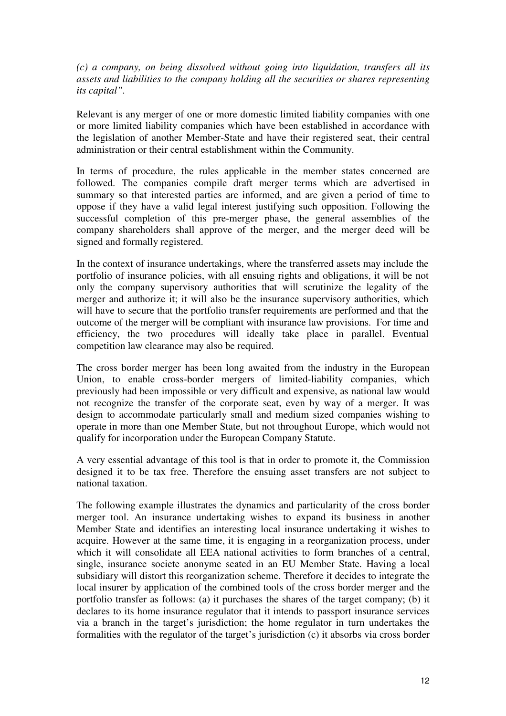*(c) a company, on being dissolved without going into liquidation, transfers all its assets and liabilities to the company holding all the securities or shares representing its capital".* 

Relevant is any merger of one or more domestic limited liability companies with one or more limited liability companies which have been established in accordance with the legislation of another Member-State and have their registered seat, their central administration or their central establishment within the Community.

In terms of procedure, the rules applicable in the member states concerned are followed. The companies compile draft merger terms which are advertised in summary so that interested parties are informed, and are given a period of time to oppose if they have a valid legal interest justifying such opposition. Following the successful completion of this pre-merger phase, the general assemblies of the company shareholders shall approve of the merger, and the merger deed will be signed and formally registered.

In the context of insurance undertakings, where the transferred assets may include the portfolio of insurance policies, with all ensuing rights and obligations, it will be not only the company supervisory authorities that will scrutinize the legality of the merger and authorize it; it will also be the insurance supervisory authorities, which will have to secure that the portfolio transfer requirements are performed and that the outcome of the merger will be compliant with insurance law provisions. For time and efficiency, the two procedures will ideally take place in parallel. Eventual competition law clearance may also be required.

The cross border merger has been long awaited from the industry in the European Union, to enable cross-border mergers of limited-liability companies, which previously had been impossible or very difficult and expensive, as national law would not recognize the transfer of the corporate seat, even by way of a merger. It was design to accommodate particularly small and medium sized companies wishing to operate in more than one Member State, but not throughout Europe, which would not qualify for incorporation under the European Company Statute.

A very essential advantage of this tool is that in order to promote it, the Commission designed it to be tax free. Therefore the ensuing asset transfers are not subject to national taxation.

The following example illustrates the dynamics and particularity of the cross border merger tool. An insurance undertaking wishes to expand its business in another Member State and identifies an interesting local insurance undertaking it wishes to acquire. However at the same time, it is engaging in a reorganization process, under which it will consolidate all EEA national activities to form branches of a central, single, insurance societe anonyme seated in an EU Member State. Having a local subsidiary will distort this reorganization scheme. Therefore it decides to integrate the local insurer by application of the combined tools of the cross border merger and the portfolio transfer as follows: (a) it purchases the shares of the target company; (b) it declares to its home insurance regulator that it intends to passport insurance services via a branch in the target's jurisdiction; the home regulator in turn undertakes the formalities with the regulator of the target's jurisdiction (c) it absorbs via cross border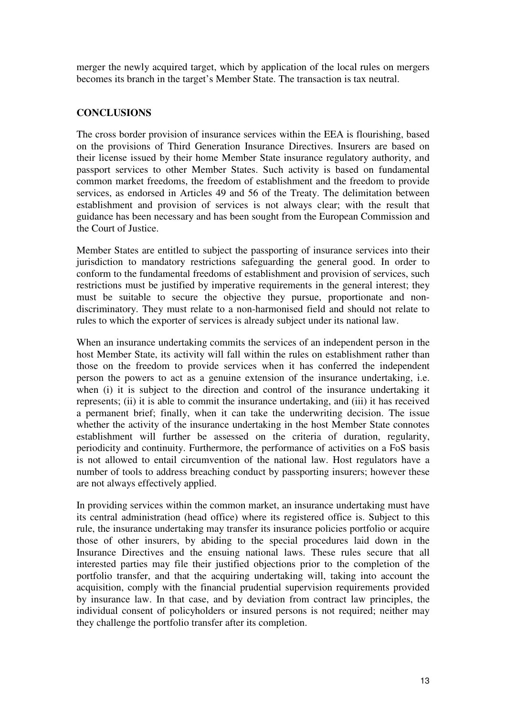merger the newly acquired target, which by application of the local rules on mergers becomes its branch in the target's Member State. The transaction is tax neutral.

## **CONCLUSIONS**

The cross border provision of insurance services within the EEA is flourishing, based on the provisions of Third Generation Insurance Directives. Insurers are based on their license issued by their home Member State insurance regulatory authority, and passport services to other Member States. Such activity is based on fundamental common market freedoms, the freedom of establishment and the freedom to provide services, as endorsed in Articles 49 and 56 of the Treaty. The delimitation between establishment and provision of services is not always clear; with the result that guidance has been necessary and has been sought from the European Commission and the Court of Justice.

Member States are entitled to subject the passporting of insurance services into their jurisdiction to mandatory restrictions safeguarding the general good. In order to conform to the fundamental freedoms of establishment and provision of services, such restrictions must be justified by imperative requirements in the general interest; they must be suitable to secure the objective they pursue, proportionate and nondiscriminatory. They must relate to a non-harmonised field and should not relate to rules to which the exporter of services is already subject under its national law.

When an insurance undertaking commits the services of an independent person in the host Member State, its activity will fall within the rules on establishment rather than those on the freedom to provide services when it has conferred the independent person the powers to act as a genuine extension of the insurance undertaking, i.e. when (i) it is subject to the direction and control of the insurance undertaking it represents; (ii) it is able to commit the insurance undertaking, and (iii) it has received a permanent brief; finally, when it can take the underwriting decision. The issue whether the activity of the insurance undertaking in the host Member State connotes establishment will further be assessed on the criteria of duration, regularity, periodicity and continuity. Furthermore, the performance of activities on a FoS basis is not allowed to entail circumvention of the national law. Host regulators have a number of tools to address breaching conduct by passporting insurers; however these are not always effectively applied.

In providing services within the common market, an insurance undertaking must have its central administration (head office) where its registered office is. Subject to this rule, the insurance undertaking may transfer its insurance policies portfolio or acquire those of other insurers, by abiding to the special procedures laid down in the Insurance Directives and the ensuing national laws. These rules secure that all interested parties may file their justified objections prior to the completion of the portfolio transfer, and that the acquiring undertaking will, taking into account the acquisition, comply with the financial prudential supervision requirements provided by insurance law. In that case, and by deviation from contract law principles, the individual consent of policyholders or insured persons is not required; neither may they challenge the portfolio transfer after its completion.